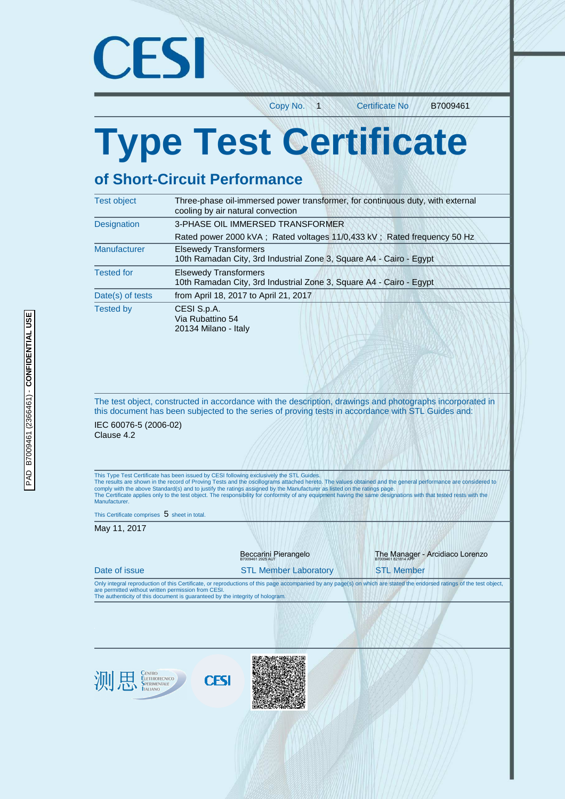

Copy No. 1 Certificate No. B7009461

# **Type Test Certificate**

# **of Short-Circuit Performance**

| <b>Test object</b>  | Three-phase oil-immersed power transformer, for continuous duty, with external<br>cooling by air natural convection |
|---------------------|---------------------------------------------------------------------------------------------------------------------|
| <b>Designation</b>  | 3-PHASE OIL IMMERSED TRANSFORMER                                                                                    |
|                     | Rated power 2000 kVA; Rated voltages 11/0,433 kV; Rated frequency 50 Hz                                             |
| <b>Manufacturer</b> | <b>Elsewedy Transformers</b><br>10th Ramadan City, 3rd Industrial Zone 3, Square A4 - Cairo - Egypt                 |
| <b>Tested for</b>   | <b>Elsewedy Transformers</b><br>10th Ramadan City, 3rd Industrial Zone 3, Square A4 - Cairo - Egypt                 |
| Date(s) of tests    | from April 18, 2017 to April 21, 2017                                                                               |
| <b>Tested by</b>    | CESI S.p.A.<br>Via Rubattino 54<br>20134 Milano - Italy                                                             |

The test object, constructed in accordance with the description, drawings and photographs incorporated in this document has been subjected to the series of proving tests in accordance with STL Guides and:

IEC 60076-5 (2006-02) Clause 4.2

This Type Test Certificate has been issued by CESI following exclusively the STL Guides.<br>The results are shown in the record of Proving Tests and the oscillograms attached hereto. The values obtained and the general perfor Manufacturer.

This Certificate comprises  $5$  sheet in total.

May 11, 2017

|                                                                                                                                      |             | Beccarini Pierangelo         | The Manager - Arcidiaco Lorenzo                                                                                                                                       |
|--------------------------------------------------------------------------------------------------------------------------------------|-------------|------------------------------|-----------------------------------------------------------------------------------------------------------------------------------------------------------------------|
| Date of issue                                                                                                                        |             | <b>STL Member Laboratory</b> | <b>STL Member</b>                                                                                                                                                     |
| are permitted without written permission from CESI.<br>The authenticity of this document is guaranteed by the integrity of hologram. |             |                              | Only integral reproduction of this Certificate, or reproductions of this page accompanied by any page(s) on which are stated the endorsed ratings of the test object, |
|                                                                                                                                      |             |                              |                                                                                                                                                                       |
|                                                                                                                                      |             |                              |                                                                                                                                                                       |
|                                                                                                                                      |             |                              |                                                                                                                                                                       |
| <b>CENTRO<br/>ELETTROTECNICO</b><br>SPERIMENTALE<br>ITALIANO<br>测                                                                    | <b>CESI</b> |                              |                                                                                                                                                                       |
|                                                                                                                                      |             |                              |                                                                                                                                                                       |
|                                                                                                                                      |             |                              |                                                                                                                                                                       |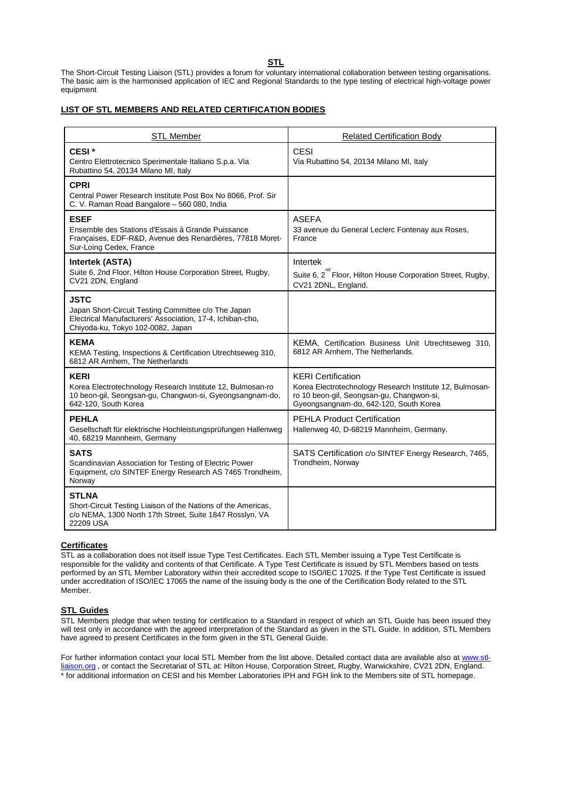**STL** 

The Short-Circuit Testing Liaison (STL) provides a forum for voluntary international collaboration between testing organisations. The basic aim is the harmonised application of IEC and Regional Standards to the type testing of electrical high-voltage power equipment

#### **LIST OF STL MEMBERS AND RELATED CERTIFICATION BODIES**

| <b>STL Member</b>                                                                                                                                                    | <b>Related Certification Body</b>                                                                                                                                            |
|----------------------------------------------------------------------------------------------------------------------------------------------------------------------|------------------------------------------------------------------------------------------------------------------------------------------------------------------------------|
| CESI <sup>*</sup><br>Centro Elettrotecnico Sperimentale Italiano S.p.a. Via<br>Rubattino 54, 20134 Milano MI, Italy                                                  | <b>CESI</b><br>Via Rubattino 54, 20134 Milano MI, Italy                                                                                                                      |
| <b>CPRI</b><br>Central Power Research Institute Post Box No 8066, Prof. Sir<br>C. V. Raman Road Bangalore - 560 080, India                                           |                                                                                                                                                                              |
| <b>ESEF</b><br>Ensemble des Stations d'Essais à Grande Puissance<br>Françaises, EDF-R&D, Avenue des Renardières, 77818 Moret-<br>Sur-Loing Cedex, France             | <b>ASEFA</b><br>33 avenue du General Leclerc Fontenay aux Roses,<br>France                                                                                                   |
| Intertek (ASTA)<br>Suite 6, 2nd Floor, Hilton House Corporation Street, Rugby,<br>CV21 2DN, England                                                                  | Intertek<br>Suite 6, 2 Floor, Hilton House Corporation Street, Rugby,<br>CV21 2DNL, England.                                                                                 |
| <b>JSTC</b><br>Japan Short-Circuit Testing Committee c/o The Japan<br>Electrical Manufacturers' Association, 17-4, Ichiban-cho,<br>Chiyoda-ku, Tokyo 102-0082, Japan |                                                                                                                                                                              |
| <b>KEMA</b><br>KEMA Testing, Inspections & Certification Utrechtseweg 310,<br>6812 AR Arnhem, The Netherlands                                                        | KEMA, Certification Business Unit Utrechtseweg 310,<br>6812 AR Arnhem, The Netherlands.                                                                                      |
| <b>KERI</b><br>Korea Electrotechnology Research Institute 12, Bulmosan-ro<br>10 beon-gil, Seongsan-gu, Changwon-si, Gyeongsangnam-do,<br>642-120, South Korea        | <b>KERI</b> Certification<br>Korea Electrotechnology Research Institute 12, Bulmosan-<br>ro 10 beon-gil, Seongsan-gu, Changwon-si,<br>Gyeongsangnam-do, 642-120, South Korea |
| <b>PEHLA</b><br>Gesellschaft für elektrische Hochleistungsprüfungen Hallenweg<br>40, 68219 Mannheim, Germany                                                         | <b>PEHLA Product Certification</b><br>Hallenweg 40, D-68219 Mannheim, Germany.                                                                                               |
| <b>SATS</b><br>Scandinavian Association for Testing of Electric Power<br>Equipment, c/o SINTEF Energy Research AS 7465 Trondheim,<br>Norway                          | SATS Certification c/o SINTEF Energy Research, 7465,<br>Trondheim, Norway                                                                                                    |
| <b>STLNA</b><br>Short-Circuit Testing Liaison of the Nations of the Americas,<br>c/o NEMA, 1300 North 17th Street, Suite 1847 Rosslyn, VA<br>22209 USA               |                                                                                                                                                                              |

#### **Certificates**

STL as a collaboration does not itself issue Type Test Certificates. Each STL Member issuing a Type Test Certificate is responsible for the validity and contents of that Certificate. A Type Test Certificate is issued by STL Members based on tests performed by an STL Member Laboratory within their accredited scope to ISO/IEC 17025. If the Type Test Certificate is issued under accreditation of ISO/IEC 17065 the name of the issuing body is the one of the Certification Body related to the STL Member.

#### **STL Guides**

STL Members pledge that when testing for certification to a Standard in respect of which an STL Guide has been issued they will test only in accordance with the agreed interpretation of the Standard as given in the STL Guide. In addition, STL Members have agreed to present Certificates in the form given in the STL General Guide.

For further information contact your local STL Member from the list above. Detailed contact data are available also at www.stlliaison.org, or contact the Secretariat of STL at: Hilton House, Corporation Street, Rugby, Warwickshire, CV21 2DN, England. \* for additional information on CESI and his Member Laboratories IPH and FGH link to the Members site of STL homepage.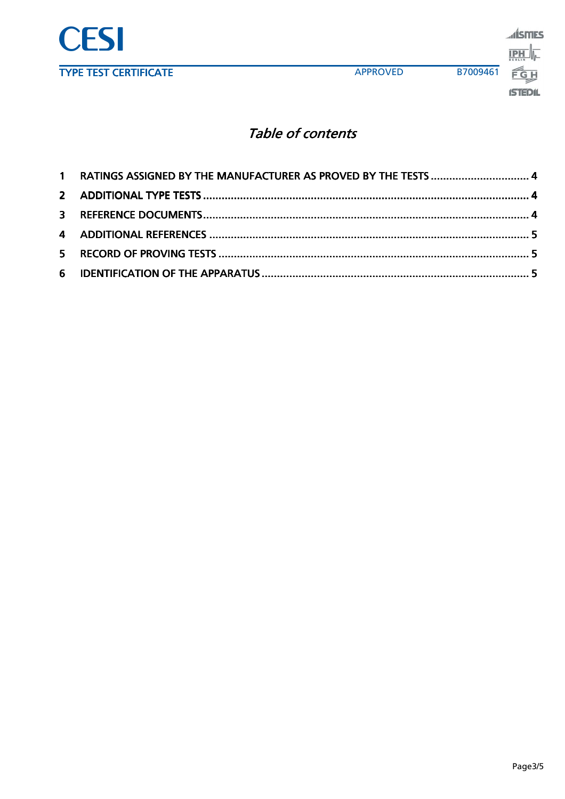

## Table of contents

| 1 RATINGS ASSIGNED BY THE MANUFACTURER AS PROVED BY THE TESTS  4 |  |
|------------------------------------------------------------------|--|
|                                                                  |  |
|                                                                  |  |
|                                                                  |  |
|                                                                  |  |
|                                                                  |  |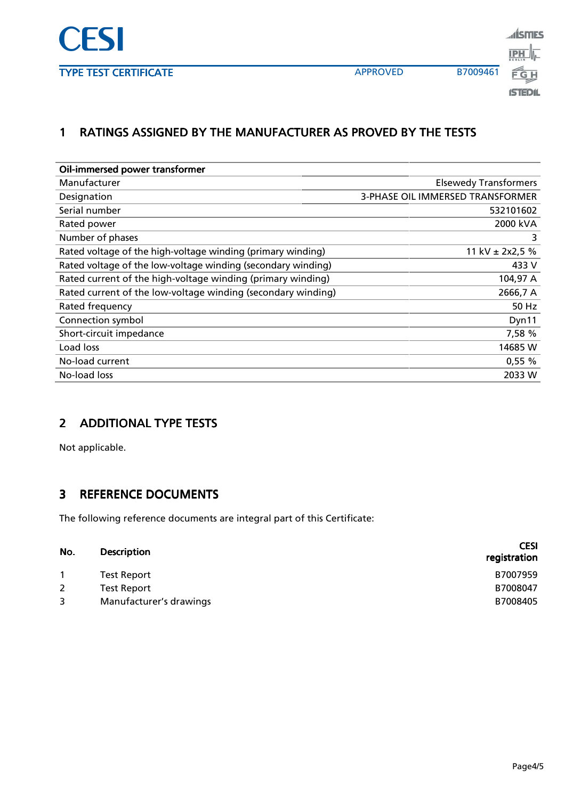

<u>alismes</u> **IPH ISTEDIL** 

## 1 RATINGS ASSIGNED BY THE MANUFACTURER AS PROVED BY THE TESTS

| Oil-immersed power transformer                               |                                         |
|--------------------------------------------------------------|-----------------------------------------|
| Manufacturer                                                 | <b>Elsewedy Transformers</b>            |
| Designation                                                  | <b>3-PHASE OIL IMMERSED TRANSFORMER</b> |
| Serial number                                                | 532101602                               |
| Rated power                                                  | 2000 kVA                                |
| Number of phases                                             |                                         |
| Rated voltage of the high-voltage winding (primary winding)  | 11 kV $\pm$ 2x2,5 %                     |
| Rated voltage of the low-voltage winding (secondary winding) | 433 V                                   |
| Rated current of the high-voltage winding (primary winding)  | 104,97 A                                |
| Rated current of the low-voltage winding (secondary winding) | 2666,7 A                                |
| Rated frequency                                              | 50 Hz                                   |
| Connection symbol                                            | Dyn11                                   |
| Short-circuit impedance                                      | 7,58 %                                  |
| Load loss                                                    | 14685 W                                 |
| No-load current                                              | $0,55\%$                                |
| No-load loss                                                 | 2033 W                                  |

#### 2 ADDITIONAL TYPE TESTS

Not applicable.

### 3 REFERENCE DOCUMENTS

The following reference documents are integral part of this Certificate:

| No.          | <b>Description</b>      | <b>CESI</b><br>registration |
|--------------|-------------------------|-----------------------------|
|              | Test Report             | B7007959                    |
| $\mathbf{2}$ | Test Report             | B7008047                    |
| 3            | Manufacturer's drawings | B7008405                    |